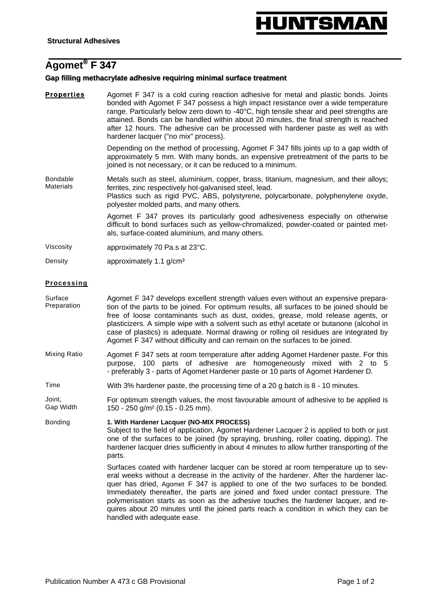# **IUNTSMA**

# **Agomet® F 347**

# **Gap filling methacrylate adhesive requiring minimal surface treatment**

**Properties** Agomet F 347 is a cold curing reaction adhesive for metal and plastic bonds. Joints bonded with Agomet F 347 possess a high impact resistance over a wide temperature range. Particularly below zero down to -40°C, high tensile shear and peel strengths are attained. Bonds can be handled within about 20 minutes, the final strength is reached after 12 hours. The adhesive can be processed with hardener paste as well as with hardener lacquer ("no mix" process).

> Depending on the method of processing, Agomet F 347 fills joints up to a gap width of approximately 5 mm. With many bonds, an expensive pretreatment of the parts to be joined is not necessary, or it can be reduced to a minimum.

Bondable Materials Metals such as steel, aluminium, copper, brass, titanium, magnesium, and their alloys; ferrites, zinc respectively hot-galvanised steel, lead. Plastics such as rigid PVC, ABS, polystyrene, polycarbonate, polyphenylene oxyde, polyester molded parts, and many others.

> Agomet F 347 proves its particularly good adhesiveness especially on otherwise difficult to bond surfaces such as yellow-chromalized, powder-coated or painted metals, surface-coated aluminium, and many others.

Viscosity approximately 70 Pa.s at 23°C.

Density **approximately 1.1 g/cm<sup>3</sup>** 

### **Processing**

- Surface Preparation Agomet F 347 develops excellent strength values even without an expensive preparation of the parts to be joined. For optimum results, all surfaces to be joined should be free of loose contaminants such as dust, oxides, grease, mold release agents, or plasticizers. A simple wipe with a solvent such as ethyl acetate or butanone (alcohol in case of plastics) is adequate. Normal drawing or rolling oil residues are integrated by Agomet F 347 without difficulty and can remain on the surfaces to be joined.
- Mixing Ratio Agomet F 347 sets at room temperature after adding Agomet Hardener paste. For this purpose, 100 parts of adhesive are homogeneously mixed with 2 to 5 - preferably 3 - parts of Agomet Hardener paste or 10 parts of Agomet Hardener D*.*
- Time With 3% hardener paste, the processing time of a 20 g batch is 8 10 minutes.

Joint, Gap Width For optimum strength values, the most favourable amount of adhesive to be applied is 150 - 250 g/m² (0.15 - 0.25 mm).

Bonding **1. With Hardener Lacquer (NO-MIX PROCESS)**  Subject to the field of application, Agomet Hardener Lacquer 2 is applied to both or just one of the surfaces to be joined (by spraying, brushing, roller coating, dipping). The hardener lacquer dries sufficiently in about 4 minutes to allow further transporting of the parts.

> Surfaces coated with hardener lacquer can be stored at room temperature up to several weeks without a decrease in the activity of the hardener. After the hardener lacquer has dried, Agomet F 347 is applied to one of the two surfaces to be bonded. Immediately thereafter, the parts are joined and fixed under contact pressure. The polymerisation starts as soon as the adhesive touches the hardener lacquer, and requires about 20 minutes until the joined parts reach a condition in which they can be handled with adequate ease.